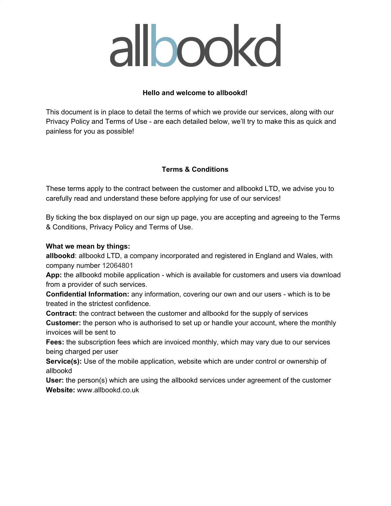#### **Hello and welcome to allbookd!**

This document is in place to detail the terms of which we provide our services, along with our Privacy Policy and Terms of Use - are each detailed below, we'll try to make this as quick and painless for you as possible!

#### **Terms & Conditions**

These terms apply to the contract between the customer and allbookd LTD, we advise you to carefully read and understand these before applying for use of our services!

By ticking the box displayed on our sign up page, you are accepting and agreeing to the Terms & Conditions, Privacy Policy and Terms of Use.

#### **What we mean by things:**

**allbookd**: allbookd LTD, a company incorporated and registered in England and Wales, with company number 12064801

**App:** the allbookd mobile application - which is available for customers and users via download from a provider of such services.

**Confidential Information:** any information, covering our own and our users - which is to be treated in the strictest confidence.

**Contract:** the contract between the customer and allbookd for the supply of services **Customer:** the person who is authorised to set up or handle your account, where the monthly invoices will be sent to

**Fees:** the subscription fees which are invoiced monthly, which may vary due to our services being charged per user

**Service(s):** Use of the mobile application, website which are under control or ownership of allbookd

**User:** the person(s) which are using the allbookd services under agreement of the customer **Website:** www.allbookd.co.uk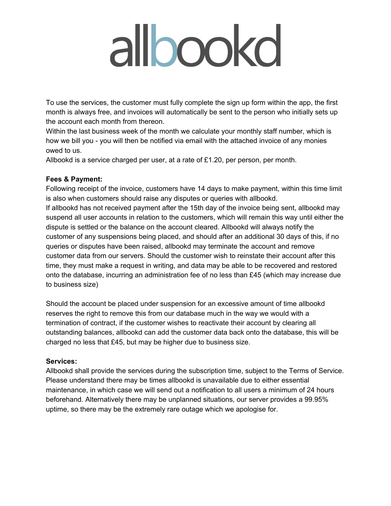To use the services, the customer must fully complete the sign up form within the app, the first month is always free, and invoices will automatically be sent to the person who initially sets up the account each month from thereon.

Within the last business week of the month we calculate your monthly staff number, which is how we bill you - you will then be notified via email with the attached invoice of any monies owed to us.

Allbookd is a service charged per user, at a rate of £1.20, per person, per month.

#### **Fees & Payment:**

Following receipt of the invoice, customers have 14 days to make payment, within this time limit is also when customers should raise any disputes or queries with allbookd.

If allbookd has not received payment after the 15th day of the invoice being sent, allbookd may suspend all user accounts in relation to the customers, which will remain this way until either the dispute is settled or the balance on the account cleared. Allbookd will always notify the customer of any suspensions being placed, and should after an additional 30 days of this, if no queries or disputes have been raised, allbookd may terminate the account and remove customer data from our servers. Should the customer wish to reinstate their account after this time, they must make a request in writing, and data may be able to be recovered and restored onto the database, incurring an administration fee of no less than £45 (which may increase due to business size)

Should the account be placed under suspension for an excessive amount of time allbookd reserves the right to remove this from our database much in the way we would with a termination of contract, if the customer wishes to reactivate their account by clearing all outstanding balances, allbookd can add the customer data back onto the database, this will be charged no less that £45, but may be higher due to business size.

#### **Services:**

Allbookd shall provide the services during the subscription time, subject to the Terms of Service. Please understand there may be times allbookd is unavailable due to either essential maintenance, in which case we will send out a notification to all users a minimum of 24 hours beforehand. Alternatively there may be unplanned situations, our server provides a 99.95% uptime, so there may be the extremely rare outage which we apologise for.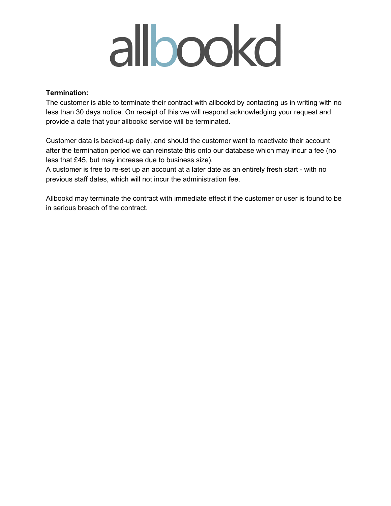#### **Termination:**

The customer is able to terminate their contract with allbookd by contacting us in writing with no less than 30 days notice. On receipt of this we will respond acknowledging your request and provide a date that your allbookd service will be terminated.

Customer data is backed-up daily, and should the customer want to reactivate their account after the termination period we can reinstate this onto our database which may incur a fee (no less that £45, but may increase due to business size).

A customer is free to re-set up an account at a later date as an entirely fresh start - with no previous staff dates, which will not incur the administration fee.

Allbookd may terminate the contract with immediate effect if the customer or user is found to be in serious breach of the contract.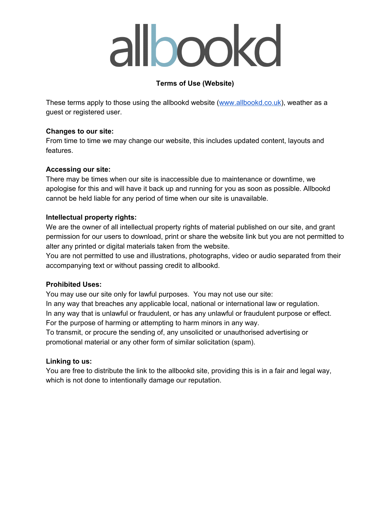### **Terms of Use (Website)**

These terms apply to those using the allbookd website ([www.allbookd.co.uk](http://www.allbookd.co.uk/)), weather as a guest or registered user.

#### **Changes to our site:**

From time to time we may change our website, this includes updated content, layouts and features.

#### **Accessing our site:**

There may be times when our site is inaccessible due to maintenance or downtime, we apologise for this and will have it back up and running for you as soon as possible. Allbookd cannot be held liable for any period of time when our site is unavailable.

#### **Intellectual property rights:**

We are the owner of all intellectual property rights of material published on our site, and grant permission for our users to download, print or share the website link but you are not permitted to alter any printed or digital materials taken from the website.

You are not permitted to use and illustrations, photographs, video or audio separated from their accompanying text or without passing credit to allbookd.

#### **Prohibited Uses:**

You may use our site only for lawful purposes. You may not use our site: In any way that breaches any applicable local, national or international law or regulation. In any way that is unlawful or fraudulent, or has any unlawful or fraudulent purpose or effect. For the purpose of harming or attempting to harm minors in any way.

To transmit, or procure the sending of, any unsolicited or unauthorised advertising or promotional material or any other form of similar solicitation (spam).

#### **Linking to us:**

You are free to distribute the link to the allbookd site, providing this is in a fair and legal way, which is not done to intentionally damage our reputation.